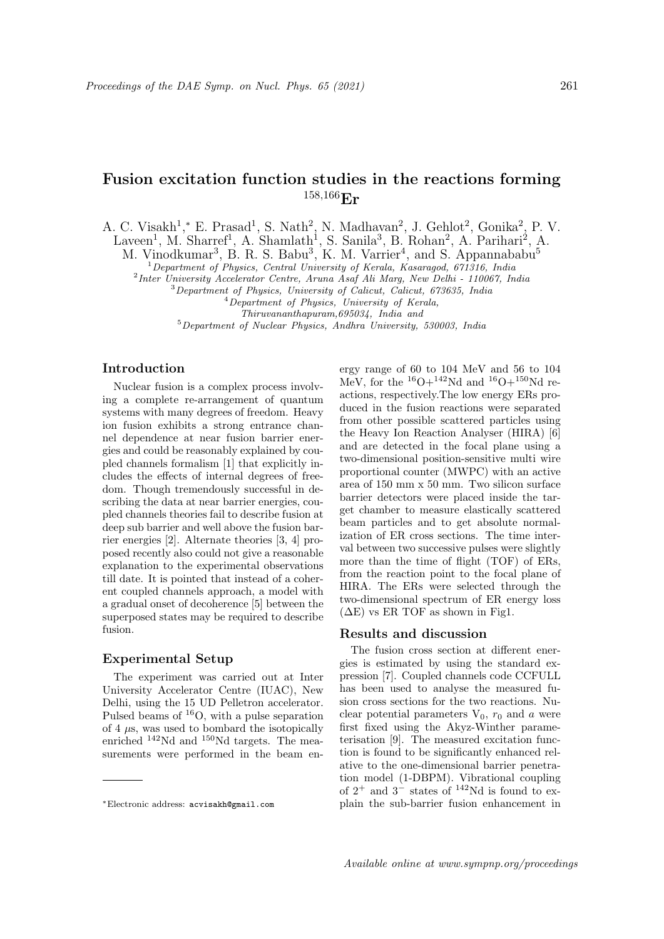# Fusion excitation function studies in the reactions forming  $158,166$ **Er**

A. C. Visakh<sup>1</sup>,\* E. Prasad<sup>1</sup>, S. Nath<sup>2</sup>, N. Madhavan<sup>2</sup>, J. Gehlot<sup>2</sup>, Gonika<sup>2</sup>, P. V.

Laveen<sup>1</sup>, M. Sharref<sup>1</sup>, A. Shamlath<sup>1</sup>, S. Sanila<sup>3</sup>, B. Rohan<sup>2</sup>, A. Parihari<sup>2</sup>, A.

M. Vinodkumar<sup>3</sup>, B. R. S. Babu<sup>3</sup>, K. M. Varrier<sup>4</sup>, and S. Appannababu<sup>5</sup>

 $1$ Department of Physics, Central University of Kerala, Kasaragod, 671316, India

<sup>2</sup>Inter University Accelerator Centre, Aruna Asaf Ali Marg, New Delhi - 110067, India

<sup>3</sup>Department of Physics, University of Calicut, Calicut, 673635, India

<sup>4</sup>Department of Physics, University of Kerala,

Thiruvananthapuram,695034, India and

<sup>5</sup>Department of Nuclear Physics, Andhra University, 530003, India

## Introduction

Nuclear fusion is a complex process involving a complete re-arrangement of quantum systems with many degrees of freedom. Heavy ion fusion exhibits a strong entrance channel dependence at near fusion barrier energies and could be reasonably explained by coupled channels formalism [1] that explicitly includes the effects of internal degrees of freedom. Though tremendously successful in describing the data at near barrier energies, coupled channels theories fail to describe fusion at deep sub barrier and well above the fusion barrier energies [2]. Alternate theories [3, 4] proposed recently also could not give a reasonable explanation to the experimental observations till date. It is pointed that instead of a coherent coupled channels approach, a model with a gradual onset of decoherence [5] between the superposed states may be required to describe fusion.

## Experimental Setup

The experiment was carried out at Inter University Accelerator Centre (IUAC), New Delhi, using the 15 UD Pelletron accelerator. Pulsed beams of <sup>16</sup>O, with a pulse separation of  $4 \mu s$ , was used to bombard the isotopically enriched <sup>142</sup>Nd and <sup>150</sup>Nd targets. The measurements were performed in the beam energy range of 60 to 104 MeV and 56 to 104 MeV, for the  $^{16}O+^{142}Nd$  and  $^{16}O+^{150}Nd$  reactions, respectively.The low energy ERs produced in the fusion reactions were separated from other possible scattered particles using the Heavy Ion Reaction Analyser (HIRA) [6] and are detected in the focal plane using a two-dimensional position-sensitive multi wire proportional counter (MWPC) with an active area of 150 mm x 50 mm. Two silicon surface barrier detectors were placed inside the target chamber to measure elastically scattered beam particles and to get absolute normalization of ER cross sections. The time interval between two successive pulses were slightly more than the time of flight (TOF) of ERs, from the reaction point to the focal plane of HIRA. The ERs were selected through the two-dimensional spectrum of ER energy loss  $(\Delta E)$  vs ER TOF as shown in Fig1.

#### Results and discussion

The fusion cross section at different energies is estimated by using the standard expression [7]. Coupled channels code CCFULL has been used to analyse the measured fusion cross sections for the two reactions. Nuclear potential parameters  $V_0$ ,  $r_0$  and a were first fixed using the Akyz-Winther parameterisation [9]. The measured excitation function is found to be significantly enhanced relative to the one-dimensional barrier penetration model (1-DBPM). Vibrational coupling of  $2^+$  and  $3^-$  states of <sup>142</sup>Nd is found to explain the sub-barrier fusion enhancement in

<sup>∗</sup>Electronic address: acvisakh@gmail.com